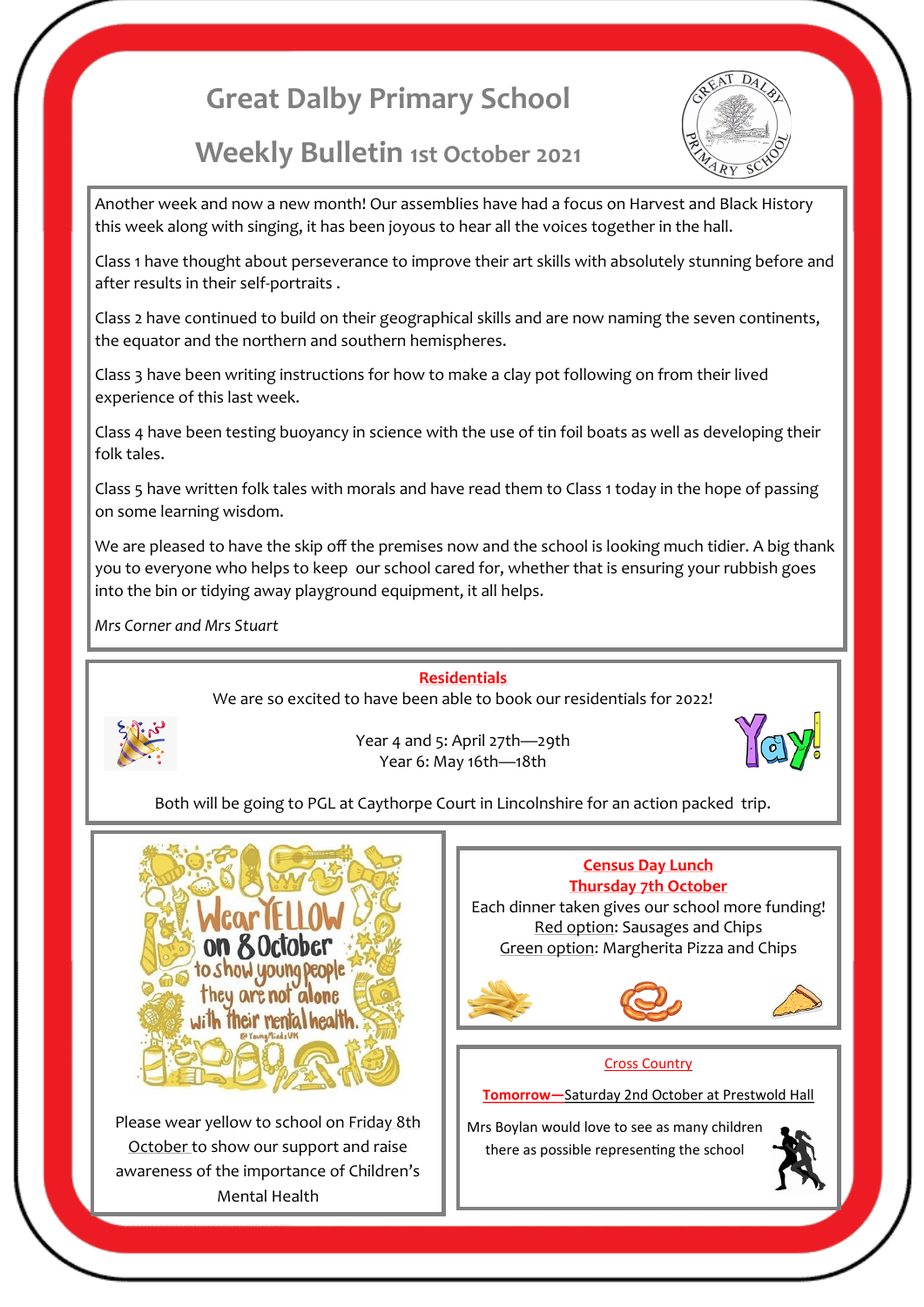# **Great Dalby Primary School**

# **Weekly Bulletin 1st October 2021**



Another week and now a new month! Our assemblies have had a focus on Harvest and Black History this week along with singing, it has been joyous to hear all the voices together in the hall.

Class 1 have thought about perseverance to improve their art skills with absolutely stunning before and after results in their self-portraits .

Class 2 have continued to build on their geographical skills and are now naming the seven continents, the equator and the northern and southern hemispheres.

Class 3 have been writing instructions for how to make a clay pot following on from their lived experience of this last week.

Class 4 have been testing buoyancy in science with the use of tin foil boats as well as developing their folk tales.

Class 5 have written folk tales with morals and have read them to Class 1 today in the hope of passing on some learning wisdom.

We are pleased to have the skip off the premises now and the school is looking much tidier. A big thank you to everyone who helps to keep our school cared for, whether that is ensuring your rubbish goes into the bin or tidying away playground equipment, it all helps.

*Mrs Corner and Mrs Stuart*

## **Residentials**

We are so excited to have been able to book our residentials for 2022!



Year 4 and 5: April 27th—29th Year 6: May 16th—18th



Both will be going to PGL at Caythorpe Court in Lincolnshire for an action packed trip.



Please wear yellow to school on Friday 8th October to show our support and raise awareness of the importance of Children's Mental Health

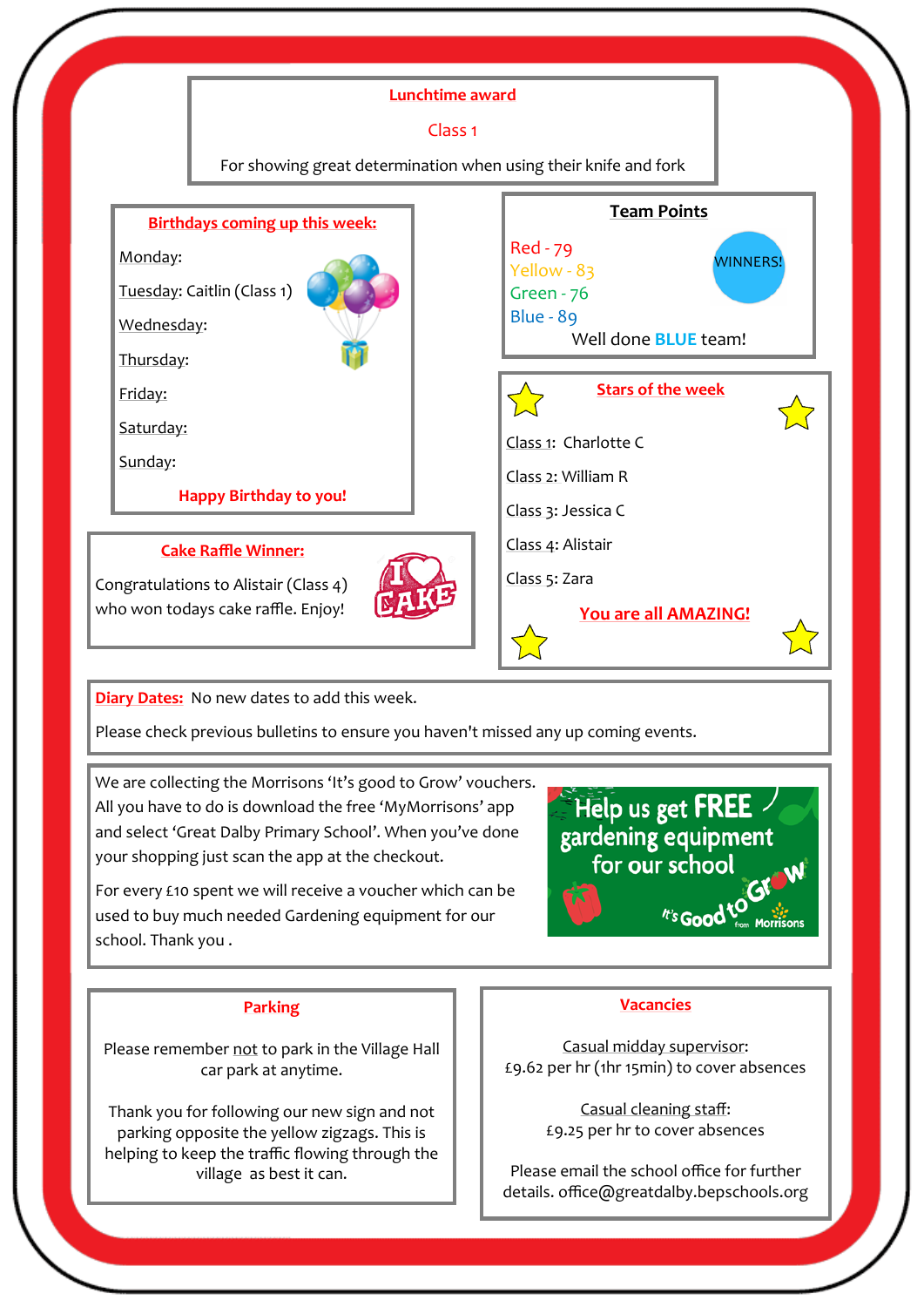

Please check previous bulletins to ensure you haven't missed any up coming events.

We are collecting the Morrisons 'It's good to Grow' vouchers. All you have to do is download the free 'MyMorrisons' app and select 'Great Dalby Primary School'. When you've done your shopping just scan the app at the checkout.

For every £10 spent we will receive a voucher which can be used to buy much needed Gardening equipment for our school. Thank you .

Help us get FREE gardening equipment for our school t's Good to ... Morrison

## **Parking**

Please remember not to park in the Village Hall car park at anytime.

Thank you for following our new sign and not parking opposite the yellow zigzags. This is helping to keep the traffic flowing through the village as best it can.

#### **Vacancies**

Casual midday supervisor: £9.62 per hr (1hr 15min) to cover absences

> Casual cleaning staff: £9.25 per hr to cover absences

Please email the school office for further details. office@greatdalby.bepschools.org